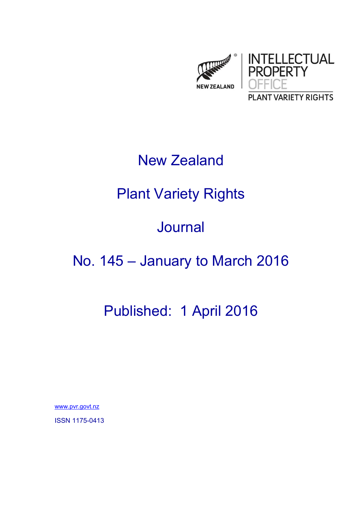

## New Zealand

# Plant Variety Rights

### Journal

## No. 145 – January to March 2016

## Published: 1 April 2016

www.pvr.govt.nz

ISSN 1175-0413